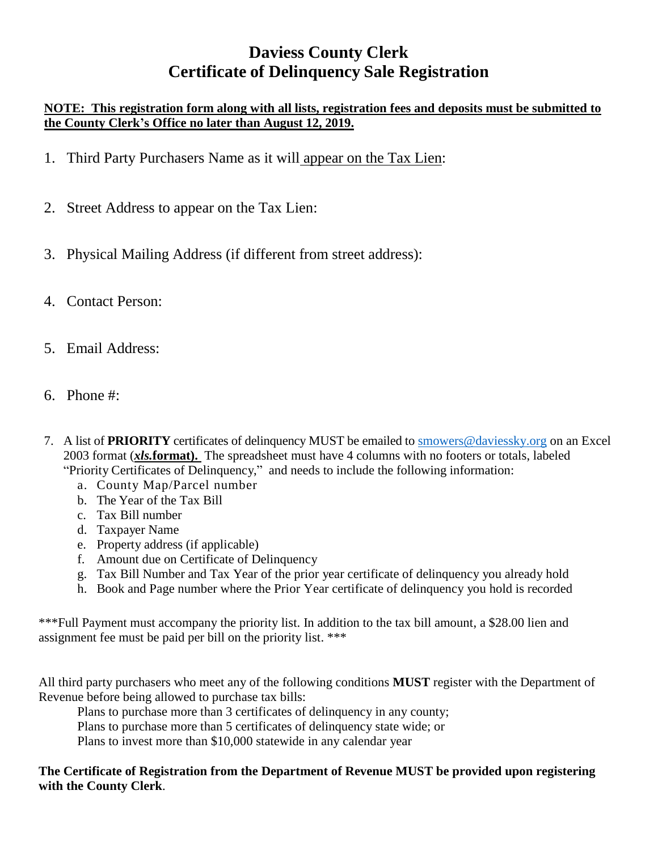# **Daviess County Clerk Certificate of Delinquency Sale Registration**

### **NOTE: This registration form along with all lists, registration fees and deposits must be submitted to the County Clerk's Office no later than August 12, 2019.**

- 1. Third Party Purchasers Name as it will appear on the Tax Lien:
- 2. Street Address to appear on the Tax Lien:
- 3. Physical Mailing Address (if different from street address):
- 4. Contact Person:
- 5. Email Address:
- 6. Phone #:
- 7. A list of **PRIORITY** certificates of delinquency MUST be emailed to [smowers@daviessky.org](mailto:smowers@daviessky.org) on an Excel 2003 format (*xls.***format).** The spreadsheet must have 4 columns with no footers or totals, labeled "Priority Certificates of Delinquency," and needs to include the following information:
	- a. County Map/Parcel number
	- b. The Year of the Tax Bill
	- c. Tax Bill number
	- d. Taxpayer Name
	- e. Property address (if applicable)
	- f. Amount due on Certificate of Delinquency
	- g. Tax Bill Number and Tax Year of the prior year certificate of delinquency you already hold
	- h. Book and Page number where the Prior Year certificate of delinquency you hold is recorded

\*\*\*Full Payment must accompany the priority list. In addition to the tax bill amount, a \$28.00 lien and assignment fee must be paid per bill on the priority list. \*\*\*

All third party purchasers who meet any of the following conditions **MUST** register with the Department of Revenue before being allowed to purchase tax bills:

Plans to purchase more than 3 certificates of delinquency in any county;

Plans to purchase more than 5 certificates of delinquency state wide; or

Plans to invest more than \$10,000 statewide in any calendar year

**The Certificate of Registration from the Department of Revenue MUST be provided upon registering with the County Clerk**.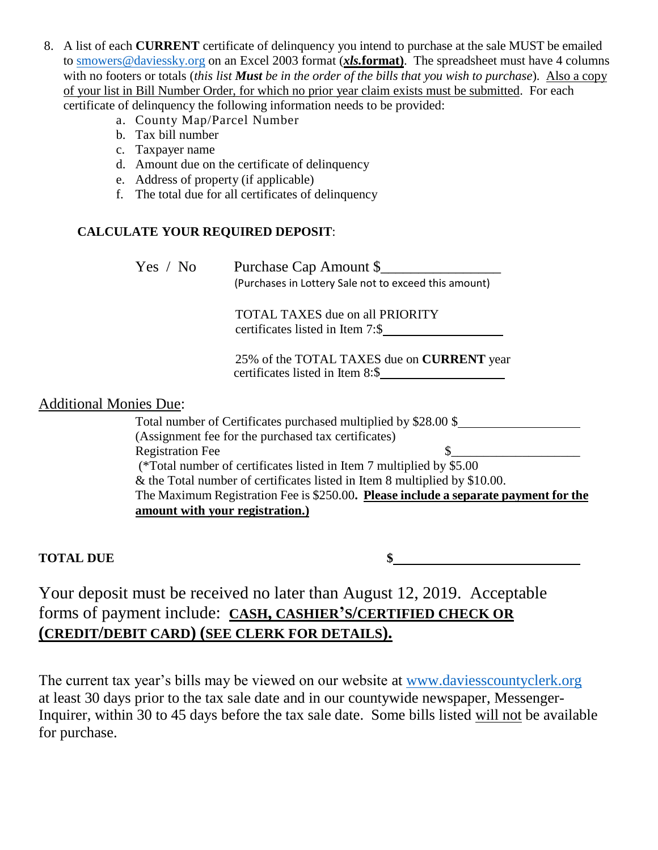- 8. A list of each **CURRENT** certificate of delinquency you intend to purchase at the sale MUST be emailed to [smowers@daviessky.org](mailto:smowers@daviessky.org) on an Excel 2003 format (*xls.***format)**. The spreadsheet must have 4 columns with no footers or totals (*this list Must be in the order of the bills that you wish to purchase*). Also a copy of your list in Bill Number Order, for which no prior year claim exists must be submitted. For each certificate of delinquency the following information needs to be provided:
	- a. County Map/Parcel Number
	- b. Tax bill number
	- c. Taxpayer name
	- d. Amount due on the certificate of delinquency
	- e. Address of property (if applicable)
	- f. The total due for all certificates of delinquency

## **CALCULATE YOUR REQUIRED DEPOSIT**:

| Yes / No                      | Purchase Cap Amount \$<br>(Purchases in Lottery Sale not to exceed this amount)       |  |
|-------------------------------|---------------------------------------------------------------------------------------|--|
|                               | TOTAL TAXES due on all PRIORITY<br>certificates listed in Item 7:\$                   |  |
|                               | 25% of the TOTAL TAXES due on <b>CURRENT</b> year<br>certificates listed in Item 8:\$ |  |
| <b>Additional Monies Due:</b> |                                                                                       |  |
|                               | Total number of Certificates purchased multiplied by \$28.00 \$                       |  |
|                               | (Assignment fee for the nurchased tax certificates)                                   |  |

(Assignment fee for the purchased tax certificates) Registration Fee  $\sim$ (\*Total number of certificates listed in Item 7 multiplied by \$5.00 & the Total number of certificates listed in Item 8 multiplied by \$10.00. The Maximum Registration Fee is \$250.00**. Please include a separate payment for the amount with your registration.)**

**TOTAL DUE \$**

Your deposit must be received no later than August 12, 2019. Acceptable forms of payment include: **CASH, CASHIER'S/CERTIFIED CHECK OR (CREDIT/DEBIT CARD) (SEE CLERK FOR DETAILS).**

The current tax year's bills may be viewed on our website at [www.daviesscountyclerk.org](http://www.daviesscountyclerk.org/) at least 30 days prior to the tax sale date and in our countywide newspaper, Messenger-Inquirer, within 30 to 45 days before the tax sale date. Some bills listed will not be available for purchase.